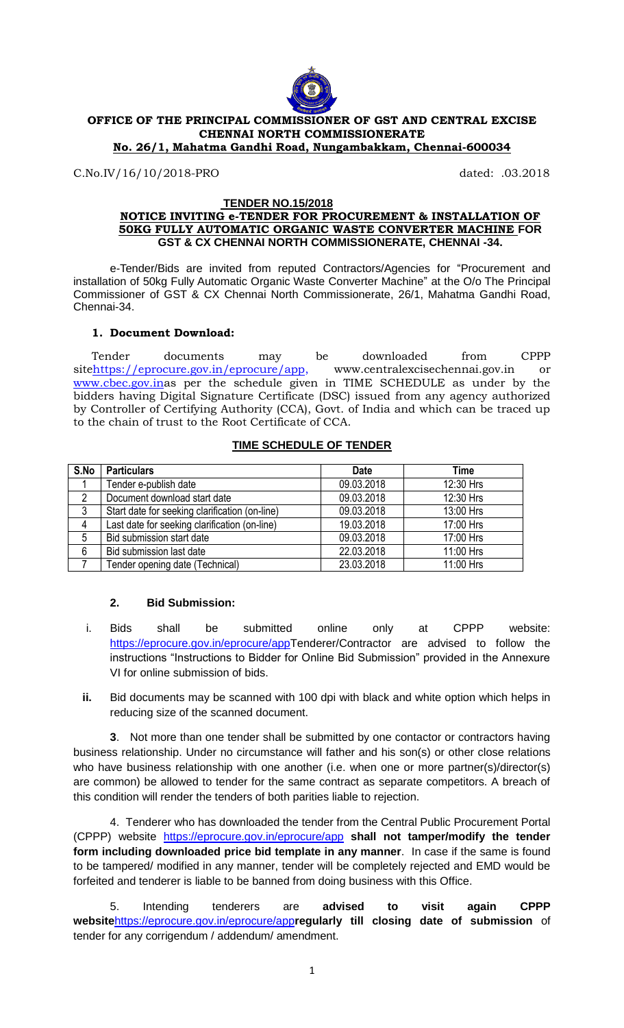

# **OFFICE OF THE PRINCIPAL COMMISSIONER OF GST AND CENTRAL EXCISE CHENNAI NORTH COMMISSIONERATE**

**No. 26/1, Mahatma Gandhi Road, Nungambakkam, Chennai-600034**

C.No.IV/16/10/2018-PRO dated: .03.2018

#### **TENDER NO.15/2018**

#### **NOTICE INVITING e-TENDER FOR PROCUREMENT & INSTALLATION OF 50KG FULLY AUTOMATIC ORGANIC WASTE CONVERTER MACHINE FOR GST & CX CHENNAI NORTH COMMISSIONERATE, CHENNAI -34.**

e-Tender/Bids are invited from reputed Contractors/Agencies for "Procurement and installation of 50kg Fully Automatic Organic Waste Converter Machine" at the O/o The Principal Commissioner of GST & CX Chennai North Commissionerate, 26/1, Mahatma Gandhi Road, Chennai-34.

#### **1. Document Download:**

Tender documents may be downloaded from CPPP sit[ehttps://eprocure.gov.in/eprocure/app,](https://eprocure.gov.in/eprocure/app) [www.centralexcisechennai.gov.in](http://www.centralexcisechennai.gov.in/) or [www.cbec.gov.ina](http://www.cbec.gov.in/)s per the schedule given in TIME SCHEDULE as under by the bidders having Digital Signature Certificate (DSC) issued from any agency authorized by Controller of Certifying Authority (CCA), Govt. of India and which can be traced up to the chain of trust to the Root Certificate of CCA.

| S.No | <b>Particulars</b>                             | <b>Date</b> | Time      |
|------|------------------------------------------------|-------------|-----------|
|      | Tender e-publish date                          | 09.03.2018  | 12:30 Hrs |
| 2    | Document download start date                   | 09.03.2018  | 12:30 Hrs |
| 3    | Start date for seeking clarification (on-line) | 09.03.2018  | 13:00 Hrs |
| 4    | Last date for seeking clarification (on-line)  | 19.03.2018  | 17:00 Hrs |
| 5    | Bid submission start date                      | 09.03.2018  | 17:00 Hrs |
| 6    | Bid submission last date                       | 22.03.2018  | 11:00 Hrs |
|      | Tender opening date (Technical)                | 23.03.2018  | 11:00 Hrs |

# **TIME SCHEDULE OF TENDER**

# **2. Bid Submission:**

- i. Bids shall be submitted online only at CPPP website: [https://eprocure.gov.in/eprocure/appT](https://eprocure.gov.in/eprocure/app)enderer/Contractor are advised to follow the instructions "Instructions to Bidder for Online Bid Submission" provided in the Annexure VI for online submission of bids.
- **ii.** Bid documents may be scanned with 100 dpi with black and white option which helps in reducing size of the scanned document.

**3**. Not more than one tender shall be submitted by one contactor or contractors having business relationship. Under no circumstance will father and his son(s) or other close relations who have business relationship with one another (i.e. when one or more partner(s)/director(s) are common) be allowed to tender for the same contract as separate competitors. A breach of this condition will render the tenders of both parities liable to rejection.

4. Tenderer who has downloaded the tender from the Central Public Procurement Portal (CPPP) website <https://eprocure.gov.in/eprocure/app> **shall not tamper/modify the tender form including downloaded price bid template in any manner**. In case if the same is found to be tampered/ modified in any manner, tender will be completely rejected and EMD would be forfeited and tenderer is liable to be banned from doing business with this Office.

5. Intending tenderers are **advised to visit again CPPP website**<https://eprocure.gov.in/eprocure/app>**regularly till closing date of submission** of tender for any corrigendum / addendum/ amendment.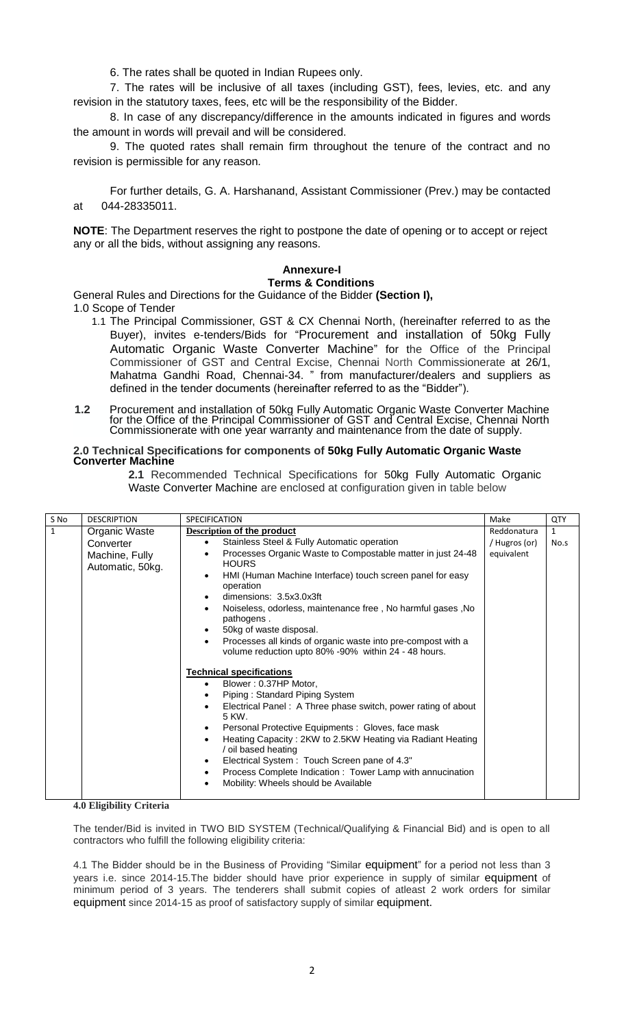6. The rates shall be quoted in Indian Rupees only.

7. The rates will be inclusive of all taxes (including GST), fees, levies, etc. and any revision in the statutory taxes, fees, etc will be the responsibility of the Bidder.

8. In case of any discrepancy/difference in the amounts indicated in figures and words the amount in words will prevail and will be considered.

9. The quoted rates shall remain firm throughout the tenure of the contract and no revision is permissible for any reason.

For further details, G. A. Harshanand, Assistant Commissioner (Prev.) may be contacted at 044-28335011.

**NOTE**: The Department reserves the right to postpone the date of opening or to accept or reject any or all the bids, without assigning any reasons.

# **Annexure-I Terms & Conditions**

General Rules and Directions for the Guidance of the Bidder **(Section I),**

1.0 Scope of Tender

- 1.1 The Principal Commissioner, GST & CX Chennai North, (hereinafter referred to as the Buyer), invites e-tenders/Bids for "Procurement and installation of 50kg Fully Automatic Organic Waste Converter Machine" for the Office of the Principal Commissioner of GST and Central Excise, Chennai North Commissionerate at 26/1, Mahatma Gandhi Road, Chennai-34. " from manufacturer/dealers and suppliers as defined in the tender documents (hereinafter referred to as the "Bidder").
- **1.2** Procurement and installation of 50kg Fully Automatic Organic Waste Converter Machine for the Office of the Principal Commissioner of GST and Central Excise, Chennai North Commissionerate with one year warranty and maintenance from the date of supply.

#### **2.0 Technical Specifications for components of 50kg Fully Automatic Organic Waste Converter Machine**

S No DESCRIPTION SPECIFICATION SERVER AND SPECIFICATION SUPPORTION SAMPLE SERVER AND SERVER AND SUPPORTION SUPPORTION 1 Organic Waste Converter Machine, Fully Automatic, 50kg. **Description of the product** Stainless Steel & Fully Automatic operation Processes Organic Waste to Compostable matter in just 24-48 HOURS HMI (Human Machine Interface) touch screen panel for easy operation Reddonatura / Hugros (or) equivalent 1 No.s

**2.1** Recommended Technical Specifications for 50kg Fully Automatic Organic Waste Converter Machine are enclosed at configuration given in table below

| Machine, Fully<br>Automatic, 50kg. | Processes Organic Waste to Compostable matter in just 24-48<br><b>HOURS</b><br>HMI (Human Machine Interface) touch screen panel for easy<br>operation<br>dimensions: 3.5x3.0x3ft<br>Noiseless, odorless, maintenance free, No harmful gases, No<br>pathogens.<br>50kg of waste disposal.<br>Processes all kinds of organic waste into pre-compost with a<br>volume reduction upto 80% -90% within 24 - 48 hours. | equivalent |  |
|------------------------------------|------------------------------------------------------------------------------------------------------------------------------------------------------------------------------------------------------------------------------------------------------------------------------------------------------------------------------------------------------------------------------------------------------------------|------------|--|
|                                    | <b>Technical specifications</b>                                                                                                                                                                                                                                                                                                                                                                                  |            |  |
|                                    | Blower: 0.37HP Motor,<br>$\bullet$                                                                                                                                                                                                                                                                                                                                                                               |            |  |
|                                    | Piping: Standard Piping System                                                                                                                                                                                                                                                                                                                                                                                   |            |  |
|                                    | Electrical Panel: A Three phase switch, power rating of about                                                                                                                                                                                                                                                                                                                                                    |            |  |
|                                    | 5 KW.                                                                                                                                                                                                                                                                                                                                                                                                            |            |  |
|                                    | Personal Protective Equipments : Gloves, face mask                                                                                                                                                                                                                                                                                                                                                               |            |  |
|                                    | Heating Capacity: 2KW to 2.5KW Heating via Radiant Heating<br>oil based heating                                                                                                                                                                                                                                                                                                                                  |            |  |
|                                    | Electrical System: Touch Screen pane of 4.3"                                                                                                                                                                                                                                                                                                                                                                     |            |  |
|                                    | Process Complete Indication: Tower Lamp with annucination                                                                                                                                                                                                                                                                                                                                                        |            |  |
|                                    | Mobility: Wheels should be Available                                                                                                                                                                                                                                                                                                                                                                             |            |  |

#### **4.0 Eligibility Criteria**

The tender/Bid is invited in TWO BID SYSTEM (Technical/Qualifying & Financial Bid) and is open to all contractors who fulfill the following eligibility criteria:

4.1 The Bidder should be in the Business of Providing "Similar equipment" for a period not less than 3 years i.e. since 2014-15.The bidder should have prior experience in supply of similar equipment of minimum period of 3 years. The tenderers shall submit copies of atleast 2 work orders for similar equipment since 2014-15 as proof of satisfactory supply of similar equipment.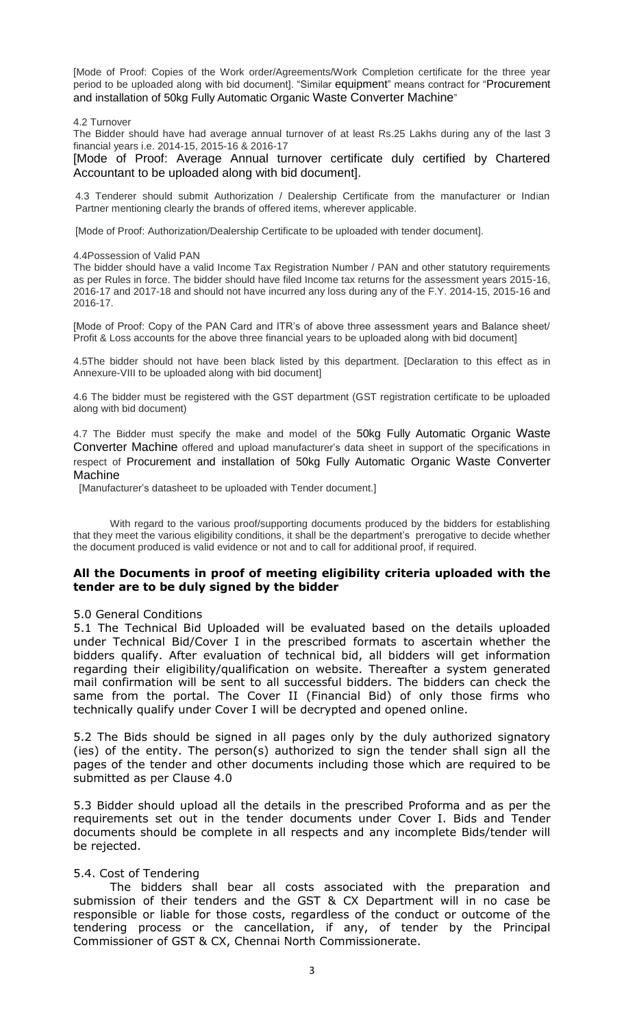[Mode of Proof: Copies of the Work order/Agreements/Work Completion certificate for the three year period to be uploaded along with bid document]. "Similar equipment" means contract for "Procurement and installation of 50kg Fully Automatic Organic Waste Converter Machine"

4.2 Turnover

The Bidder should have had average annual turnover of at least Rs.25 Lakhs during any of the last 3 financial years i.e. 2014-15, 2015-16 & 2016-17

[Mode of Proof: Average Annual turnover certificate duly certified by Chartered Accountant to be uploaded along with bid document].

4.3 Tenderer should submit Authorization / Dealership Certificate from the manufacturer or Indian Partner mentioning clearly the brands of offered items, wherever applicable.

[Mode of Proof: Authorization/Dealership Certificate to be uploaded with tender document].

4.4Possession of Valid PAN

The bidder should have a valid Income Tax Registration Number / PAN and other statutory requirements as per Rules in force. The bidder should have filed Income tax returns for the assessment years 2015-16, 2016-17 and 2017-18 and should not have incurred any loss during any of the F.Y. 2014-15, 2015-16 and 2016-17.

[Mode of Proof: Copy of the PAN Card and ITR's of above three assessment years and Balance sheet/ Profit & Loss accounts for the above three financial years to be uploaded along with bid document]

4.5The bidder should not have been black listed by this department. [Declaration to this effect as in Annexure-VIII to be uploaded along with bid document]

4.6 The bidder must be registered with the GST department (GST registration certificate to be uploaded along with bid document)

4.7 The Bidder must specify the make and model of the 50kg Fully Automatic Organic Waste Converter Machine offered and upload manufacturer's data sheet in support of the specifications in respect of Procurement and installation of 50kg Fully Automatic Organic Waste Converter Machine

[Manufacturer's datasheet to be uploaded with Tender document.]

With regard to the various proof/supporting documents produced by the bidders for establishing that they meet the various eligibility conditions, it shall be the department"s prerogative to decide whether the document produced is valid evidence or not and to call for additional proof, if required.

# **All the Documents in proof of meeting eligibility criteria uploaded with the tender are to be duly signed by the bidder**

#### 5.0 General Conditions

5.1 The Technical Bid Uploaded will be evaluated based on the details uploaded under Technical Bid/Cover I in the prescribed formats to ascertain whether the bidders qualify. After evaluation of technical bid, all bidders will get information regarding their eligibility/qualification on website. Thereafter a system generated mail confirmation will be sent to all successful bidders. The bidders can check the same from the portal. The Cover II (Financial Bid) of only those firms who technically qualify under Cover I will be decrypted and opened online.

5.2 The Bids should be signed in all pages only by the duly authorized signatory (ies) of the entity. The person(s) authorized to sign the tender shall sign all the pages of the tender and other documents including those which are required to be submitted as per Clause 4.0

5.3 Bidder should upload all the details in the prescribed Proforma and as per the requirements set out in the tender documents under Cover I. Bids and Tender documents should be complete in all respects and any incomplete Bids/tender will be rejected.

# 5.4. Cost of Tendering

The bidders shall bear all costs associated with the preparation and submission of their tenders and the GST & CX Department will in no case be responsible or liable for those costs, regardless of the conduct or outcome of the tendering process or the cancellation, if any, of tender by the Principal Commissioner of GST & CX, Chennai North Commissionerate.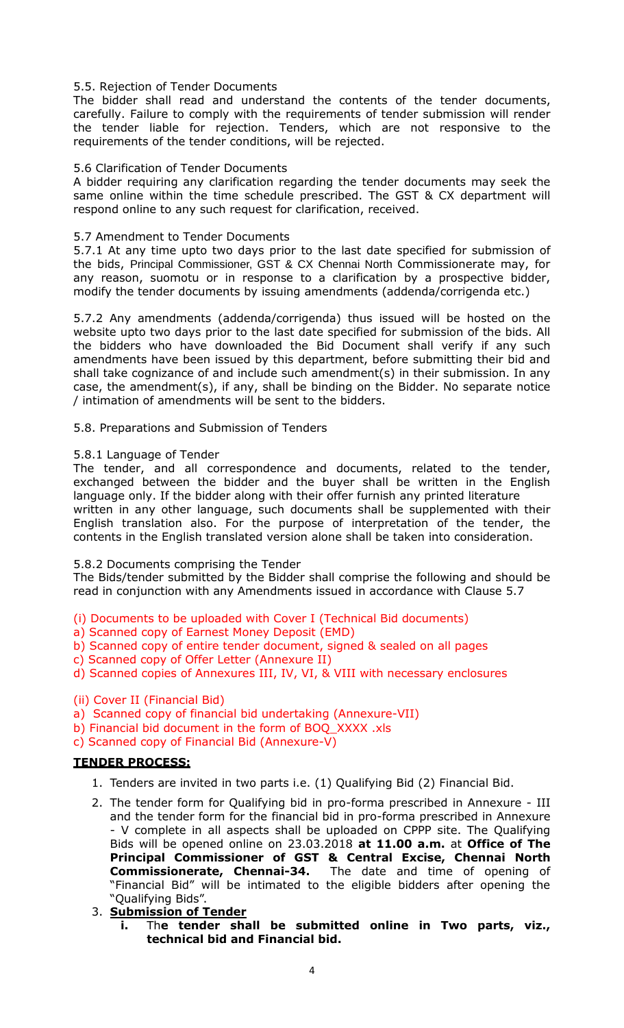# 5.5. Rejection of Tender Documents

The bidder shall read and understand the contents of the tender documents, carefully. Failure to comply with the requirements of tender submission will render the tender liable for rejection. Tenders, which are not responsive to the requirements of the tender conditions, will be rejected.

# 5.6 Clarification of Tender Documents

A bidder requiring any clarification regarding the tender documents may seek the same online within the time schedule prescribed. The GST & CX department will respond online to any such request for clarification, received.

# 5.7 Amendment to Tender Documents

5.7.1 At any time upto two days prior to the last date specified for submission of the bids, Principal Commissioner, GST & CX Chennai North Commissionerate may, for any reason, suomotu or in response to a clarification by a prospective bidder, modify the tender documents by issuing amendments (addenda/corrigenda etc.)

5.7.2 Any amendments (addenda/corrigenda) thus issued will be hosted on the website upto two days prior to the last date specified for submission of the bids. All the bidders who have downloaded the Bid Document shall verify if any such amendments have been issued by this department, before submitting their bid and shall take cognizance of and include such amendment(s) in their submission. In any case, the amendment(s), if any, shall be binding on the Bidder. No separate notice / intimation of amendments will be sent to the bidders.

5.8. Preparations and Submission of Tenders

# 5.8.1 Language of Tender

The tender, and all correspondence and documents, related to the tender, exchanged between the bidder and the buyer shall be written in the English language only. If the bidder along with their offer furnish any printed literature written in any other language, such documents shall be supplemented with their English translation also. For the purpose of interpretation of the tender, the contents in the English translated version alone shall be taken into consideration.

# 5.8.2 Documents comprising the Tender

The Bids/tender submitted by the Bidder shall comprise the following and should be read in conjunction with any Amendments issued in accordance with Clause 5.7

- (i) Documents to be uploaded with Cover I (Technical Bid documents)
- a) Scanned copy of Earnest Money Deposit (EMD)
- b) Scanned copy of entire tender document, signed & sealed on all pages
- c) Scanned copy of Offer Letter (Annexure II)
- d) Scanned copies of Annexures III, IV, VI, & VIII with necessary enclosures
- (ii) Cover II (Financial Bid)
- a) Scanned copy of financial bid undertaking (Annexure-VII)
- b) Financial bid document in the form of BOQ\_XXXX .xls
- c) Scanned copy of Financial Bid (Annexure-V)

# **TENDER PROCESS:**

- 1. Tenders are invited in two parts i.e. (1) Qualifying Bid (2) Financial Bid.
- 2. The tender form for Qualifying bid in pro-forma prescribed in Annexure III and the tender form for the financial bid in pro-forma prescribed in Annexure - V complete in all aspects shall be uploaded on CPPP site. The Qualifying Bids will be opened online on 23.03.2018 **at 11.00 a.m.** at **Office of The Principal Commissioner of GST & Central Excise, Chennai North Commissionerate, Chennai-34.** The date and time of opening of "Financial Bid" will be intimated to the eligible bidders after opening the "Qualifying Bids".
- 3. **Submission of Tender**
	- **i.** Th**e tender shall be submitted online in Two parts, viz., technical bid and Financial bid.**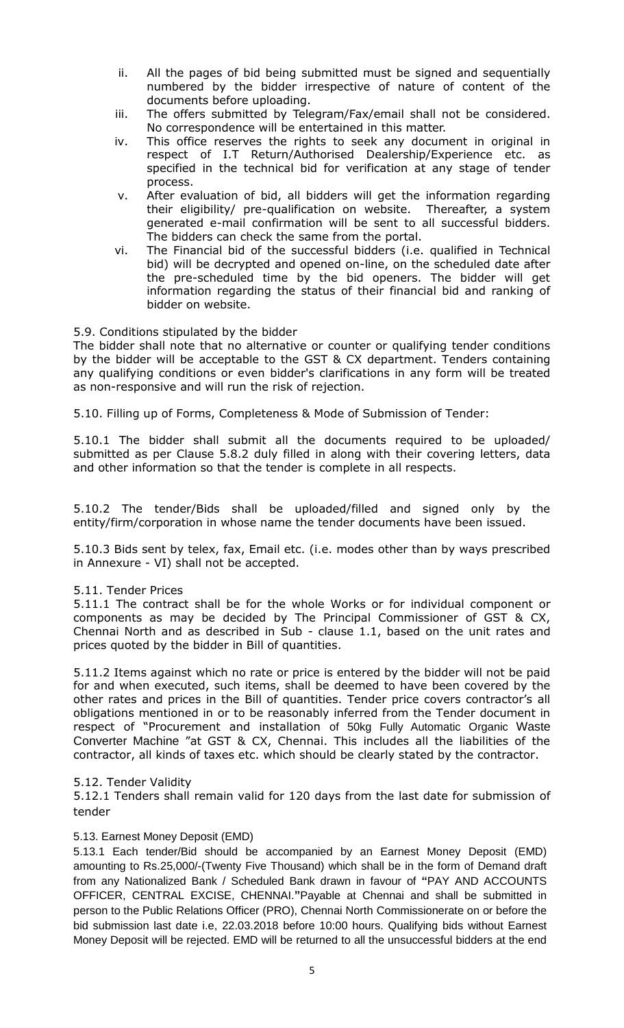- ii. All the pages of bid being submitted must be signed and sequentially numbered by the bidder irrespective of nature of content of the documents before uploading.
- iii. The offers submitted by Telegram/Fax/email shall not be considered. No correspondence will be entertained in this matter.
- iv. This office reserves the rights to seek any document in original in respect of I.T Return/Authorised Dealership/Experience etc. as specified in the technical bid for verification at any stage of tender process.
- v. After evaluation of bid, all bidders will get the information regarding their eligibility/ pre-qualification on website. Thereafter, a system generated e-mail confirmation will be sent to all successful bidders. The bidders can check the same from the portal.
- vi. The Financial bid of the successful bidders (i.e. qualified in Technical bid) will be decrypted and opened on-line, on the scheduled date after the pre-scheduled time by the bid openers. The bidder will get information regarding the status of their financial bid and ranking of bidder on website.

# 5.9. Conditions stipulated by the bidder

The bidder shall note that no alternative or counter or qualifying tender conditions by the bidder will be acceptable to the GST & CX department. Tenders containing any qualifying conditions or even bidder's clarifications in any form will be treated as non-responsive and will run the risk of rejection.

5.10. Filling up of Forms, Completeness & Mode of Submission of Tender:

5.10.1 The bidder shall submit all the documents required to be uploaded/ submitted as per Clause 5.8.2 duly filled in along with their covering letters, data and other information so that the tender is complete in all respects.

5.10.2 The tender/Bids shall be uploaded/filled and signed only by the entity/firm/corporation in whose name the tender documents have been issued.

5.10.3 Bids sent by telex, fax, Email etc. (i.e. modes other than by ways prescribed in Annexure - VI) shall not be accepted.

# 5.11. Tender Prices

5.11.1 The contract shall be for the whole Works or for individual component or components as may be decided by The Principal Commissioner of GST & CX, Chennai North and as described in Sub - clause 1.1, based on the unit rates and prices quoted by the bidder in Bill of quantities.

5.11.2 Items against which no rate or price is entered by the bidder will not be paid for and when executed, such items, shall be deemed to have been covered by the other rates and prices in the Bill of quantities. Tender price covers contractor's all obligations mentioned in or to be reasonably inferred from the Tender document in respect of "Procurement and installation of 50kg Fully Automatic Organic Waste Converter Machine "at GST & CX, Chennai. This includes all the liabilities of the contractor, all kinds of taxes etc. which should be clearly stated by the contractor.

# 5.12. Tender Validity

5.12.1 Tenders shall remain valid for 120 days from the last date for submission of tender

# 5.13. Earnest Money Deposit (EMD)

5.13.1 Each tender/Bid should be accompanied by an Earnest Money Deposit (EMD) amounting to Rs.25,000/-(Twenty Five Thousand) which shall be in the form of Demand draft from any Nationalized Bank / Scheduled Bank drawn in favour of **"**PAY AND ACCOUNTS OFFICER, CENTRAL EXCISE, CHENNAI.**"**Payable at Chennai and shall be submitted in person to the Public Relations Officer (PRO), Chennai North Commissionerate on or before the bid submission last date i.e, 22.03.2018 before 10:00 hours. Qualifying bids without Earnest Money Deposit will be rejected. EMD will be returned to all the unsuccessful bidders at the end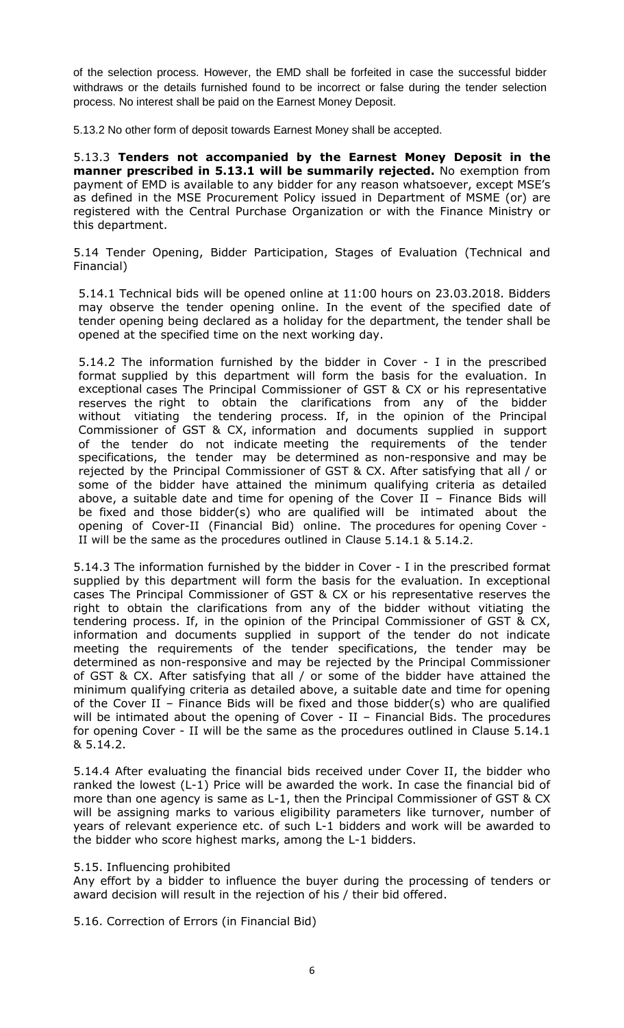of the selection process. However, the EMD shall be forfeited in case the successful bidder withdraws or the details furnished found to be incorrect or false during the tender selection process. No interest shall be paid on the Earnest Money Deposit.

5.13.2 No other form of deposit towards Earnest Money shall be accepted.

5.13.3 **Tenders not accompanied by the Earnest Money Deposit in the manner prescribed in 5.13.1 will be summarily rejected.** No exemption from payment of EMD is available to any bidder for any reason whatsoever, except MSE's as defined in the MSE Procurement Policy issued in Department of MSME (or) are registered with the Central Purchase Organization or with the Finance Ministry or this department.

5.14 Tender Opening, Bidder Participation, Stages of Evaluation (Technical and Financial)

5.14.1 Technical bids will be opened online at 11:00 hours on 23.03.2018. Bidders may observe the tender opening online. In the event of the specified date of tender opening being declared as a holiday for the department, the tender shall be opened at the specified time on the next working day.

5.14.2 The information furnished by the bidder in Cover - I in the prescribed format supplied by this department will form the basis for the evaluation. In exceptional cases The Principal Commissioner of GST & CX or his representative reserves the right to obtain the clarifications from any of the bidder without vitiating the tendering process. If, in the opinion of the Principal Commissioner of GST & CX, information and documents supplied in support of the tender do not indicate meeting the requirements of the tender specifications, the tender may be determined as non-responsive and may be rejected by the Principal Commissioner of GST & CX. After satisfying that all / or some of the bidder have attained the minimum qualifying criteria as detailed above, a suitable date and time for opening of the Cover  $II$  - Finance Bids will be fixed and those bidder(s) who are qualified will be intimated about the opening of Cover-II (Financial Bid) online. The procedures for opening Cover - II will be the same as the procedures outlined in Clause 5.14.1 & 5.14.2.

5.14.3 The information furnished by the bidder in Cover - I in the prescribed format supplied by this department will form the basis for the evaluation. In exceptional cases The Principal Commissioner of GST & CX or his representative reserves the right to obtain the clarifications from any of the bidder without vitiating the tendering process. If, in the opinion of the Principal Commissioner of GST & CX, information and documents supplied in support of the tender do not indicate meeting the requirements of the tender specifications, the tender may be determined as non-responsive and may be rejected by the Principal Commissioner of GST & CX. After satisfying that all / or some of the bidder have attained the minimum qualifying criteria as detailed above, a suitable date and time for opening of the Cover II – Finance Bids will be fixed and those bidder(s) who are qualified will be intimated about the opening of Cover - II – Financial Bids. The procedures for opening Cover - II will be the same as the procedures outlined in Clause 5.14.1 & 5.14.2.

5.14.4 After evaluating the financial bids received under Cover II, the bidder who ranked the lowest (L-1) Price will be awarded the work. In case the financial bid of more than one agency is same as L-1, then the Principal Commissioner of GST & CX will be assigning marks to various eligibility parameters like turnover, number of years of relevant experience etc. of such L-1 bidders and work will be awarded to the bidder who score highest marks, among the L-1 bidders.

# 5.15. Influencing prohibited

Any effort by a bidder to influence the buyer during the processing of tenders or award decision will result in the rejection of his / their bid offered.

5.16. Correction of Errors (in Financial Bid)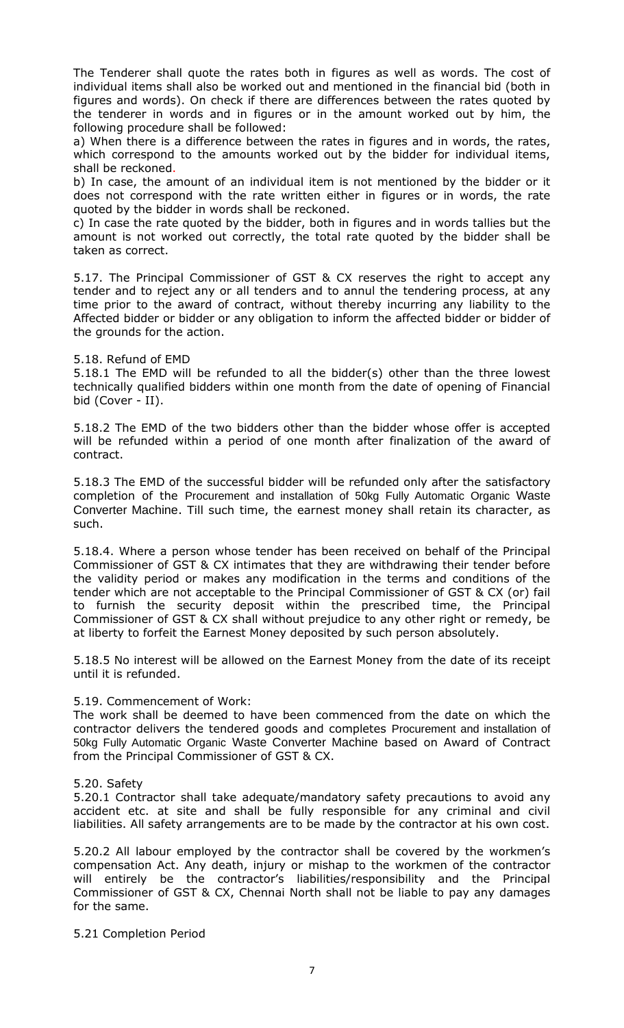The Tenderer shall quote the rates both in figures as well as words. The cost of individual items shall also be worked out and mentioned in the financial bid (both in figures and words). On check if there are differences between the rates quoted by the tenderer in words and in figures or in the amount worked out by him, the following procedure shall be followed:

a) When there is a difference between the rates in figures and in words, the rates, which correspond to the amounts worked out by the bidder for individual items, shall be reckoned.

b) In case, the amount of an individual item is not mentioned by the bidder or it does not correspond with the rate written either in figures or in words, the rate quoted by the bidder in words shall be reckoned.

c) In case the rate quoted by the bidder, both in figures and in words tallies but the amount is not worked out correctly, the total rate quoted by the bidder shall be taken as correct.

5.17. The Principal Commissioner of GST & CX reserves the right to accept any tender and to reject any or all tenders and to annul the tendering process, at any time prior to the award of contract, without thereby incurring any liability to the Affected bidder or bidder or any obligation to inform the affected bidder or bidder of the grounds for the action.

5.18. Refund of EMD

5.18.1 The EMD will be refunded to all the bidder(s) other than the three lowest technically qualified bidders within one month from the date of opening of Financial bid (Cover - II).

5.18.2 The EMD of the two bidders other than the bidder whose offer is accepted will be refunded within a period of one month after finalization of the award of contract.

5.18.3 The EMD of the successful bidder will be refunded only after the satisfactory completion of the Procurement and installation of 50kg Fully Automatic Organic Waste Converter Machine. Till such time, the earnest money shall retain its character, as such.

5.18.4. Where a person whose tender has been received on behalf of the Principal Commissioner of GST & CX intimates that they are withdrawing their tender before the validity period or makes any modification in the terms and conditions of the tender which are not acceptable to the Principal Commissioner of GST & CX (or) fail to furnish the security deposit within the prescribed time, the Principal Commissioner of GST & CX shall without prejudice to any other right or remedy, be at liberty to forfeit the Earnest Money deposited by such person absolutely.

5.18.5 No interest will be allowed on the Earnest Money from the date of its receipt until it is refunded.

# 5.19. Commencement of Work:

The work shall be deemed to have been commenced from the date on which the contractor delivers the tendered goods and completes Procurement and installation of 50kg Fully Automatic Organic Waste Converter Machine based on Award of Contract from the Principal Commissioner of GST & CX.

#### 5.20. Safety

5.20.1 Contractor shall take adequate/mandatory safety precautions to avoid any accident etc. at site and shall be fully responsible for any criminal and civil liabilities. All safety arrangements are to be made by the contractor at his own cost.

5.20.2 All labour employed by the contractor shall be covered by the workmen's compensation Act. Any death, injury or mishap to the workmen of the contractor will entirely be the contractor's liabilities/responsibility and the Principal Commissioner of GST & CX, Chennai North shall not be liable to pay any damages for the same.

5.21 Completion Period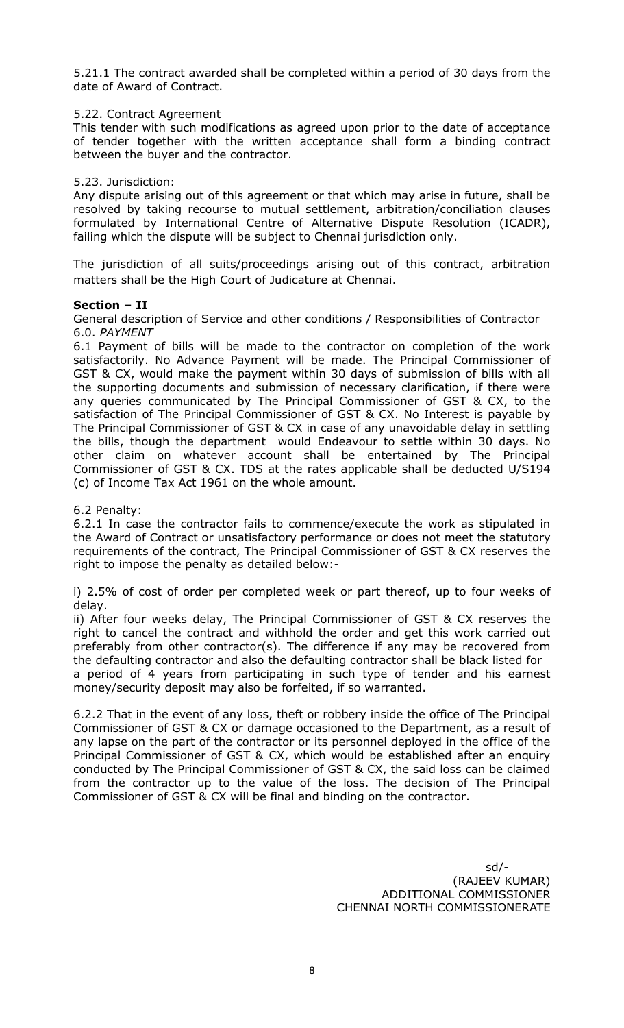5.21.1 The contract awarded shall be completed within a period of 30 days from the date of Award of Contract.

# 5.22. Contract Agreement

This tender with such modifications as agreed upon prior to the date of acceptance of tender together with the written acceptance shall form a binding contract between the buyer and the contractor.

## 5.23. Jurisdiction:

Any dispute arising out of this agreement or that which may arise in future, shall be resolved by taking recourse to mutual settlement, arbitration/conciliation clauses formulated by International Centre of Alternative Dispute Resolution (ICADR), failing which the dispute will be subject to Chennai jurisdiction only.

The jurisdiction of all suits/proceedings arising out of this contract, arbitration matters shall be the High Court of Judicature at Chennai.

#### **Section – II**

General description of Service and other conditions / Responsibilities of Contractor 6.0. *PAYMENT* 

6.1 Payment of bills will be made to the contractor on completion of the work satisfactorily. No Advance Payment will be made. The Principal Commissioner of GST & CX, would make the payment within 30 days of submission of bills with all the supporting documents and submission of necessary clarification, if there were any queries communicated by The Principal Commissioner of GST & CX, to the satisfaction of The Principal Commissioner of GST & CX. No Interest is payable by The Principal Commissioner of GST & CX in case of any unavoidable delay in settling the bills, though the department would Endeavour to settle within 30 days. No other claim on whatever account shall be entertained by The Principal Commissioner of GST & CX. TDS at the rates applicable shall be deducted U/S194 (c) of Income Tax Act 1961 on the whole amount.

## 6.2 Penalty:

6.2.1 In case the contractor fails to commence/execute the work as stipulated in the Award of Contract or unsatisfactory performance or does not meet the statutory requirements of the contract, The Principal Commissioner of GST & CX reserves the right to impose the penalty as detailed below:-

i) 2.5% of cost of order per completed week or part thereof, up to four weeks of delay.

ii) After four weeks delay, The Principal Commissioner of GST & CX reserves the right to cancel the contract and withhold the order and get this work carried out preferably from other contractor(s). The difference if any may be recovered from the defaulting contractor and also the defaulting contractor shall be black listed for a period of 4 years from participating in such type of tender and his earnest money/security deposit may also be forfeited, if so warranted.

6.2.2 That in the event of any loss, theft or robbery inside the office of The Principal Commissioner of GST & CX or damage occasioned to the Department, as a result of any lapse on the part of the contractor or its personnel deployed in the office of the Principal Commissioner of GST & CX, which would be established after an enquiry conducted by The Principal Commissioner of GST & CX, the said loss can be claimed from the contractor up to the value of the loss. The decision of The Principal Commissioner of GST & CX will be final and binding on the contractor.

 sd/- (RAJEEV KUMAR) ADDITIONAL COMMISSIONER CHENNAI NORTH COMMISSIONERATE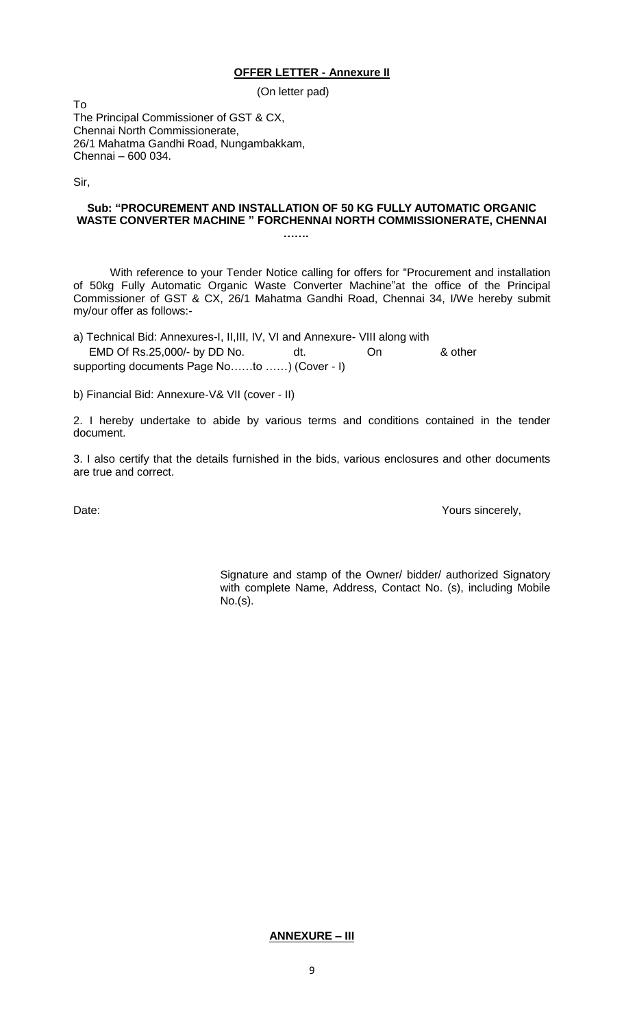#### **OFFER LETTER - Annexure II**

(On letter pad)

To The Principal Commissioner of GST & CX, Chennai North Commissionerate, 26/1 Mahatma Gandhi Road, Nungambakkam, Chennai – 600 034.

Sir,

# **Sub: "PROCUREMENT AND INSTALLATION OF 50 KG FULLY AUTOMATIC ORGANIC WASTE CONVERTER MACHINE " FORCHENNAI NORTH COMMISSIONERATE, CHENNAI**

 **…….**

With reference to your Tender Notice calling for offers for "Procurement and installation of 50kg Fully Automatic Organic Waste Converter Machine"at the office of the Principal Commissioner of GST & CX, 26/1 Mahatma Gandhi Road, Chennai 34, I/We hereby submit my/our offer as follows:-

a) Technical Bid: Annexures-I, II,III, IV, VI and Annexure- VIII along with EMD Of Rs.25,000/- by DD No. dt. On & other supporting documents Page No……to ……) (Cover - I)

b) Financial Bid: Annexure-V& VII (cover - II)

2. I hereby undertake to abide by various terms and conditions contained in the tender document.

3. I also certify that the details furnished in the bids, various enclosures and other documents are true and correct.

Date:  $\blacksquare$ 

Signature and stamp of the Owner/ bidder/ authorized Signatory with complete Name, Address, Contact No. (s), including Mobile No.(s).

**ANNEXURE – III**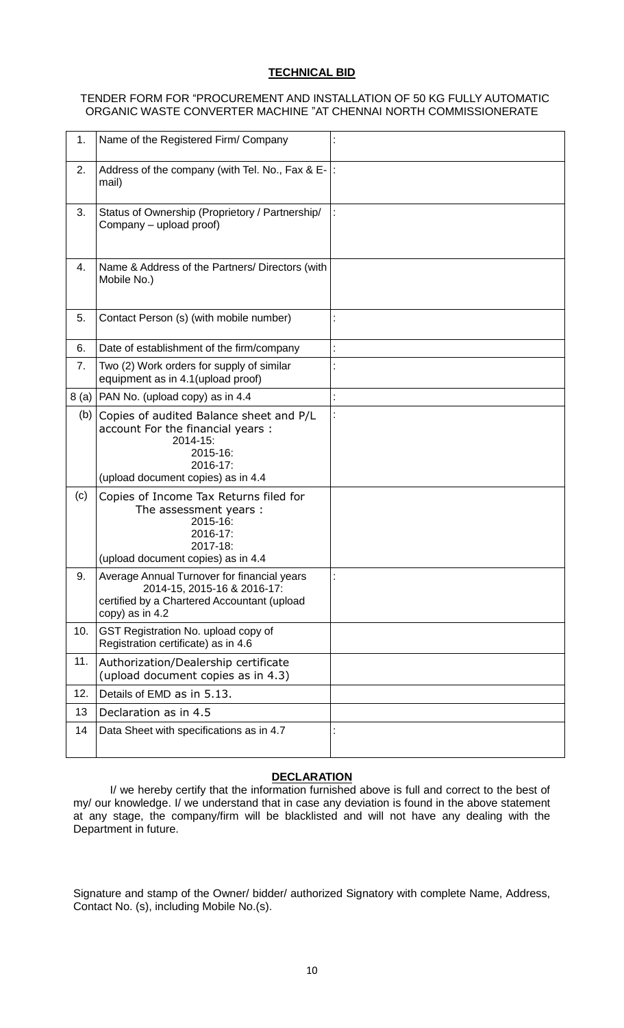# **TECHNICAL BID**

# TENDER FORM FOR "PROCUREMENT AND INSTALLATION OF 50 KG FULLY AUTOMATIC ORGANIC WASTE CONVERTER MACHINE "AT CHENNAI NORTH COMMISSIONERATE

| 1.   | Name of the Registered Firm/ Company                                                                                                                   |                |
|------|--------------------------------------------------------------------------------------------------------------------------------------------------------|----------------|
| 2.   | Address of the company (with Tel. No., Fax & E- :<br>mail)                                                                                             |                |
| 3.   | Status of Ownership (Proprietory / Partnership/<br>Company – upload proof)                                                                             |                |
| 4.   | Name & Address of the Partners/ Directors (with<br>Mobile No.)                                                                                         |                |
| 5.   | Contact Person (s) (with mobile number)                                                                                                                |                |
| 6.   | Date of establishment of the firm/company                                                                                                              | $\ddot{\cdot}$ |
| 7.   | Two (2) Work orders for supply of similar<br>equipment as in 4.1 (upload proof)                                                                        |                |
| 8(a) | PAN No. (upload copy) as in 4.4                                                                                                                        |                |
| (b)  | Copies of audited Balance sheet and P/L<br>account For the financial years :<br>2014-15:<br>2015-16:<br>2016-17:<br>(upload document copies) as in 4.4 |                |
| (c)  | Copies of Income Tax Returns filed for<br>The assessment years:<br>2015-16:<br>2016-17:<br>2017-18:<br>(upload document copies) as in 4.4              |                |
| 9.   | Average Annual Turnover for financial years<br>2014-15, 2015-16 & 2016-17:<br>certified by a Chartered Accountant (upload<br>copy) as in 4.2           |                |
| 10.  | GST Registration No. upload copy of<br>Registration certificate) as in 4.6                                                                             |                |
| 11.  | Authorization/Dealership certificate<br>(upload document copies as in 4.3)                                                                             |                |
| 12.  | Details of EMD as in 5.13.                                                                                                                             |                |
| 13   | Declaration as in 4.5                                                                                                                                  |                |
| 14   | Data Sheet with specifications as in 4.7                                                                                                               |                |

# **DECLARATION**

I/ we hereby certify that the information furnished above is full and correct to the best of my/ our knowledge. I/ we understand that in case any deviation is found in the above statement at any stage, the company/firm will be blacklisted and will not have any dealing with the Department in future.

Signature and stamp of the Owner/ bidder/ authorized Signatory with complete Name, Address, Contact No. (s), including Mobile No.(s).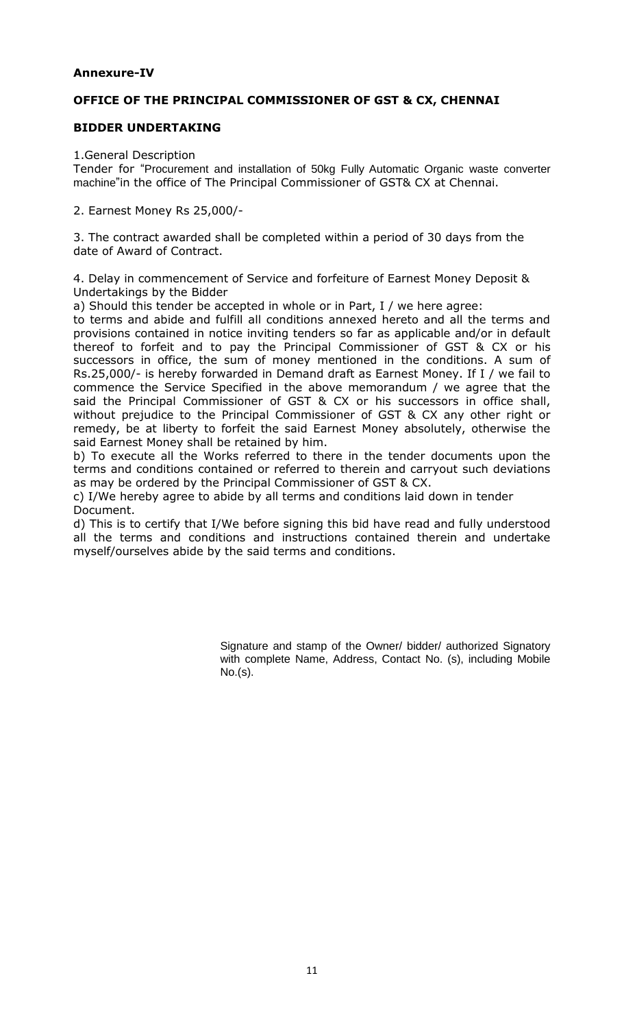# **Annexure-IV**

# **OFFICE OF THE PRINCIPAL COMMISSIONER OF GST & CX, CHENNAI**

# **BIDDER UNDERTAKING**

## 1.General Description

Tender for "Procurement and installation of 50kg Fully Automatic Organic waste converter machine"in the office of The Principal Commissioner of GST& CX at Chennai.

2. Earnest Money Rs 25,000/-

3. The contract awarded shall be completed within a period of 30 days from the date of Award of Contract.

4. Delay in commencement of Service and forfeiture of Earnest Money Deposit & Undertakings by the Bidder

a) Should this tender be accepted in whole or in Part, I / we here agree:

to terms and abide and fulfill all conditions annexed hereto and all the terms and provisions contained in notice inviting tenders so far as applicable and/or in default thereof to forfeit and to pay the Principal Commissioner of GST & CX or his successors in office, the sum of money mentioned in the conditions. A sum of Rs.25,000/- is hereby forwarded in Demand draft as Earnest Money. If I / we fail to commence the Service Specified in the above memorandum / we agree that the said the Principal Commissioner of GST & CX or his successors in office shall, without prejudice to the Principal Commissioner of GST & CX any other right or remedy, be at liberty to forfeit the said Earnest Money absolutely, otherwise the said Earnest Money shall be retained by him.

b) To execute all the Works referred to there in the tender documents upon the terms and conditions contained or referred to therein and carryout such deviations as may be ordered by the Principal Commissioner of GST & CX.

c) I/We hereby agree to abide by all terms and conditions laid down in tender Document.

d) This is to certify that I/We before signing this bid have read and fully understood all the terms and conditions and instructions contained therein and undertake myself/ourselves abide by the said terms and conditions.

> Signature and stamp of the Owner/ bidder/ authorized Signatory with complete Name, Address, Contact No. (s), including Mobile No.(s).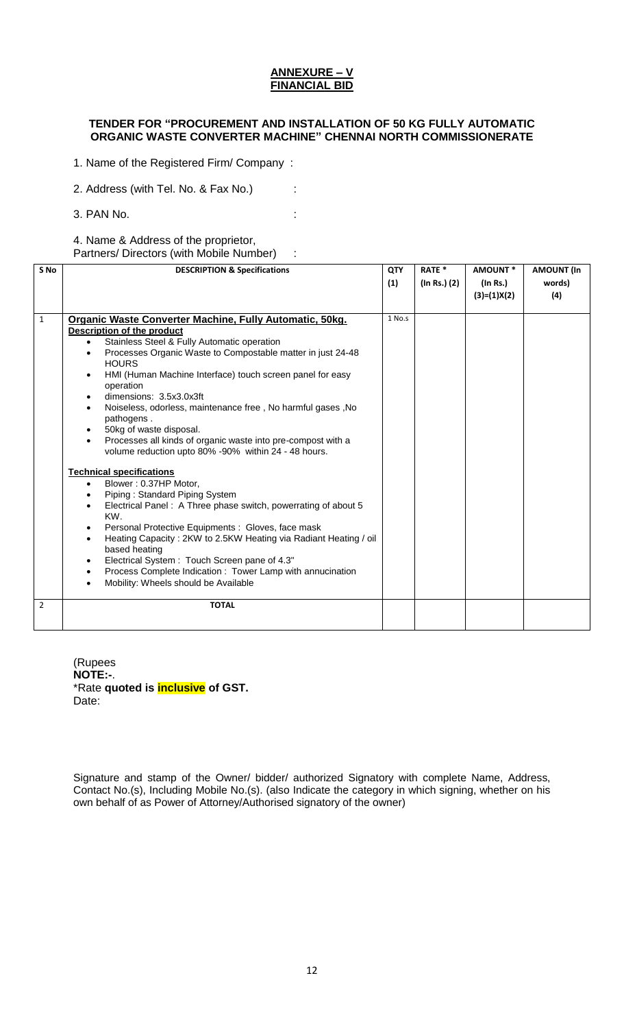## **ANNEXURE – V FINANCIAL BID**

## **TENDER FOR "PROCUREMENT AND INSTALLATION OF 50 KG FULLY AUTOMATIC ORGANIC WASTE CONVERTER MACHINE" CHENNAI NORTH COMMISSIONERATE**

1. Name of the Registered Firm/ Company :

2. Address (with Tel. No. & Fax No.) :

3. PAN No. :

4. Name & Address of the proprietor, Partners/ Directors (with Mobile Number) :

| S <sub>No</sub> | <b>DESCRIPTION &amp; Specifications</b>                                                                                           | QTY    | RATE *       | <b>AMOUNT *</b> | <b>AMOUNT (In</b> |
|-----------------|-----------------------------------------------------------------------------------------------------------------------------------|--------|--------------|-----------------|-------------------|
|                 |                                                                                                                                   | (1)    | (In Rs.) (2) | (In Rs.)        | words)            |
|                 |                                                                                                                                   |        |              | $(3)=(1)X(2)$   | (4)               |
|                 |                                                                                                                                   |        |              |                 |                   |
| 1               | Organic Waste Converter Machine, Fully Automatic, 50kg.<br>Description of the product                                             | 1 No.s |              |                 |                   |
|                 | Stainless Steel & Fully Automatic operation<br>$\bullet$                                                                          |        |              |                 |                   |
|                 | Processes Organic Waste to Compostable matter in just 24-48<br>$\bullet$<br><b>HOURS</b>                                          |        |              |                 |                   |
|                 | HMI (Human Machine Interface) touch screen panel for easy<br>$\bullet$<br>operation                                               |        |              |                 |                   |
|                 | dimensions: 3.5x3.0x3ft<br>$\bullet$                                                                                              |        |              |                 |                   |
|                 | Noiseless, odorless, maintenance free, No harmful gases, No<br>$\bullet$<br>pathogens.                                            |        |              |                 |                   |
|                 | 50kg of waste disposal.<br>$\bullet$                                                                                              |        |              |                 |                   |
|                 | Processes all kinds of organic waste into pre-compost with a<br>$\bullet$<br>volume reduction upto 80% -90% within 24 - 48 hours. |        |              |                 |                   |
|                 | <b>Technical specifications</b>                                                                                                   |        |              |                 |                   |
|                 | Blower: 0.37HP Motor,<br>$\bullet$                                                                                                |        |              |                 |                   |
|                 | Piping: Standard Piping System<br>$\bullet$                                                                                       |        |              |                 |                   |
|                 | Electrical Panel: A Three phase switch, powerrating of about 5<br>$\bullet$<br>KW.                                                |        |              |                 |                   |
|                 | Personal Protective Equipments : Gloves, face mask<br>$\bullet$                                                                   |        |              |                 |                   |
|                 | Heating Capacity: 2KW to 2.5KW Heating via Radiant Heating / oil<br>$\bullet$<br>based heating                                    |        |              |                 |                   |
|                 | Electrical System: Touch Screen pane of 4.3"<br>٠                                                                                 |        |              |                 |                   |
|                 | Process Complete Indication: Tower Lamp with annucination<br>$\bullet$                                                            |        |              |                 |                   |
|                 | Mobility: Wheels should be Available<br>$\bullet$                                                                                 |        |              |                 |                   |
| $\overline{2}$  | <b>TOTAL</b>                                                                                                                      |        |              |                 |                   |
|                 |                                                                                                                                   |        |              |                 |                   |

(Rupees **NOTE:-**. \*Rate **quoted is inclusive of GST.** Date:

Signature and stamp of the Owner/ bidder/ authorized Signatory with complete Name, Address, Contact No.(s), Including Mobile No.(s). (also Indicate the category in which signing, whether on his own behalf of as Power of Attorney/Authorised signatory of the owner)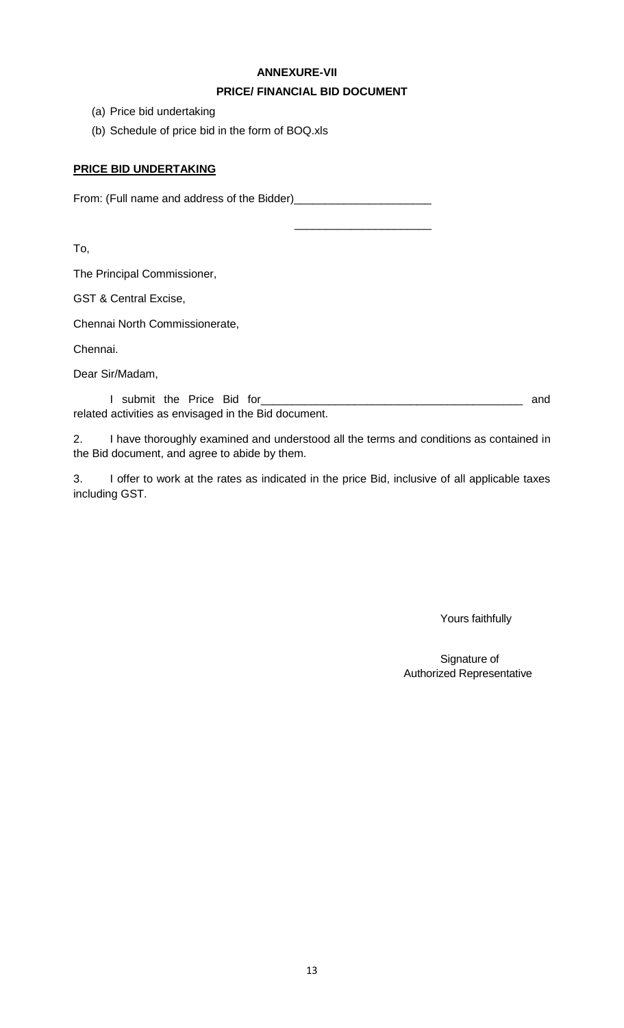# **ANNEXURE-VII**

# **PRICE/ FINANCIAL BID DOCUMENT**

\_\_\_\_\_\_\_\_\_\_\_\_\_\_\_\_\_\_\_\_\_\_

- (a) Price bid undertaking
- (b) Schedule of price bid in the form of BOQ.xls

# **PRICE BID UNDERTAKING**

From: (Full name and address of the Bidder)\_\_\_\_\_\_\_\_\_\_\_\_\_\_\_\_\_\_\_\_\_\_

To,

The Principal Commissioner,

GST & Central Excise,

Chennai North Commissionerate,

Chennai.

Dear Sir/Madam,

I submit the Price Bid for\_\_\_\_\_\_\_\_\_\_\_\_\_\_\_\_\_\_\_\_\_\_\_\_\_\_\_\_\_\_\_\_\_\_\_\_\_\_\_\_\_\_ and related activities as envisaged in the Bid document.

2. I have thoroughly examined and understood all the terms and conditions as contained in the Bid document, and agree to abide by them.

3. I offer to work at the rates as indicated in the price Bid, inclusive of all applicable taxes including GST.

Yours faithfully

Signature of Authorized Representative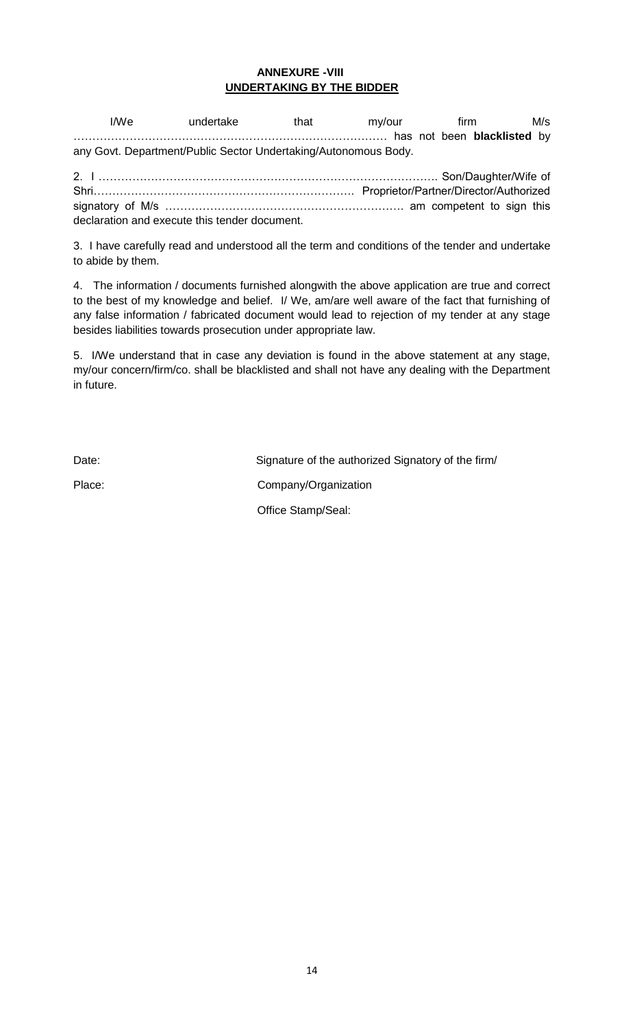# **ANNEXURE -VIII UNDERTAKING BY THE BIDDER**

I/We undertake that my/our firm M/s ………………………………………………………………………… has not been **blacklisted** by any Govt. Department/Public Sector Undertaking/Autonomous Body.

2. I ………………………………………………………………………………. Son/Daughter/Wife of Shri……………………………………………………………. Proprietor/Partner/Director/Authorized signatory of M/s ………………………………………………………. am competent to sign this declaration and execute this tender document.

3. I have carefully read and understood all the term and conditions of the tender and undertake to abide by them.

4. The information / documents furnished alongwith the above application are true and correct to the best of my knowledge and belief. I/ We, am/are well aware of the fact that furnishing of any false information / fabricated document would lead to rejection of my tender at any stage besides liabilities towards prosecution under appropriate law.

5. I/We understand that in case any deviation is found in the above statement at any stage, my/our concern/firm/co. shall be blacklisted and shall not have any dealing with the Department in future.

Date: Date: Signature of the authorized Signatory of the firm/ Place: Company/Organization Office Stamp/Seal: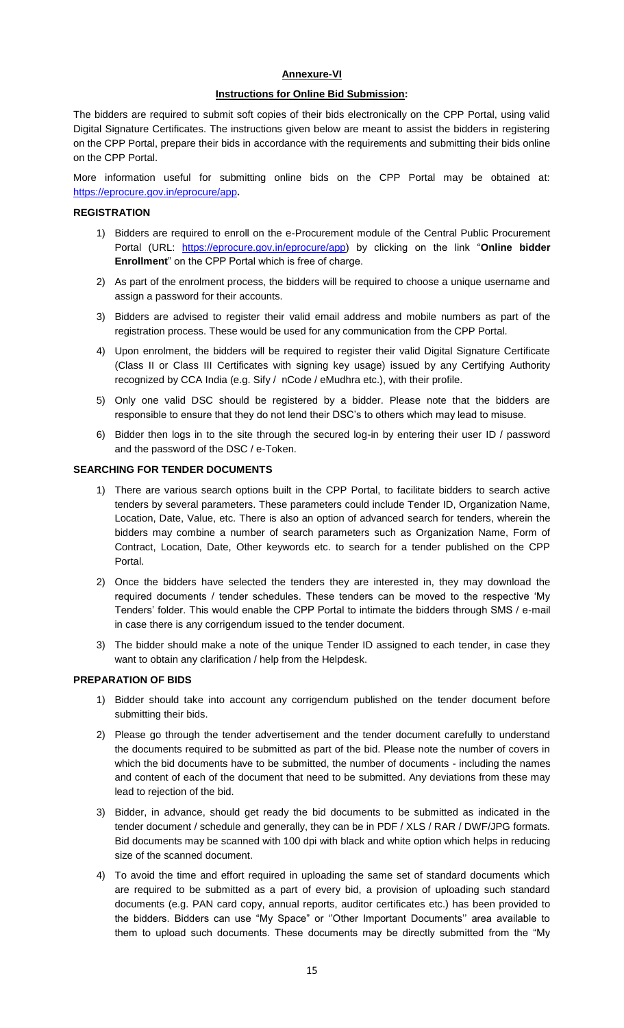#### **Annexure-VI**

#### **Instructions for Online Bid Submission:**

The bidders are required to submit soft copies of their bids electronically on the CPP Portal, using valid Digital Signature Certificates. The instructions given below are meant to assist the bidders in registering on the CPP Portal, prepare their bids in accordance with the requirements and submitting their bids online on the CPP Portal.

More information useful for submitting online bids on the CPP Portal may be obtained at: <https://eprocure.gov.in/eprocure/app>**.**

#### **REGISTRATION**

- 1) Bidders are required to enroll on the e-Procurement module of the Central Public Procurement Portal (URL: [https://eprocure.gov.in/eprocure/app\)](https://eprocure.gov.in/eprocure/app) by clicking on the link "**Online bidder Enrollment**" on the CPP Portal which is free of charge.
- 2) As part of the enrolment process, the bidders will be required to choose a unique username and assign a password for their accounts.
- 3) Bidders are advised to register their valid email address and mobile numbers as part of the registration process. These would be used for any communication from the CPP Portal.
- 4) Upon enrolment, the bidders will be required to register their valid Digital Signature Certificate (Class II or Class III Certificates with signing key usage) issued by any Certifying Authority recognized by CCA India (e.g. Sify / nCode / eMudhra etc.), with their profile.
- 5) Only one valid DSC should be registered by a bidder. Please note that the bidders are responsible to ensure that they do not lend their DSC"s to others which may lead to misuse.
- 6) Bidder then logs in to the site through the secured log-in by entering their user ID / password and the password of the DSC / e-Token.

#### **SEARCHING FOR TENDER DOCUMENTS**

- 1) There are various search options built in the CPP Portal, to facilitate bidders to search active tenders by several parameters. These parameters could include Tender ID, Organization Name, Location, Date, Value, etc. There is also an option of advanced search for tenders, wherein the bidders may combine a number of search parameters such as Organization Name, Form of Contract, Location, Date, Other keywords etc. to search for a tender published on the CPP Portal.
- 2) Once the bidders have selected the tenders they are interested in, they may download the required documents / tender schedules. These tenders can be moved to the respective "My Tenders" folder. This would enable the CPP Portal to intimate the bidders through SMS / e-mail in case there is any corrigendum issued to the tender document.
- 3) The bidder should make a note of the unique Tender ID assigned to each tender, in case they want to obtain any clarification / help from the Helpdesk.

#### **PREPARATION OF BIDS**

- 1) Bidder should take into account any corrigendum published on the tender document before submitting their bids.
- 2) Please go through the tender advertisement and the tender document carefully to understand the documents required to be submitted as part of the bid. Please note the number of covers in which the bid documents have to be submitted, the number of documents - including the names and content of each of the document that need to be submitted. Any deviations from these may lead to rejection of the bid.
- 3) Bidder, in advance, should get ready the bid documents to be submitted as indicated in the tender document / schedule and generally, they can be in PDF / XLS / RAR / DWF/JPG formats. Bid documents may be scanned with 100 dpi with black and white option which helps in reducing size of the scanned document.
- 4) To avoid the time and effort required in uploading the same set of standard documents which are required to be submitted as a part of every bid, a provision of uploading such standard documents (e.g. PAN card copy, annual reports, auditor certificates etc.) has been provided to the bidders. Bidders can use "My Space" or "Other Important Documents" area available to them to upload such documents. These documents may be directly submitted from the "My